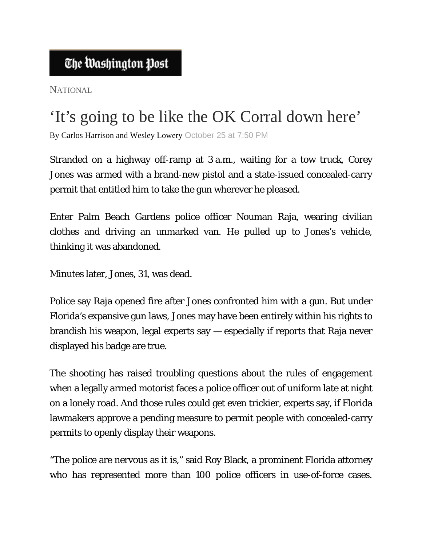## The Washington Post

**NATIONAL** 

## 'It's going to be like the OK Corral down here'

By Carlos Harrison and Wesley Lowery October 25 at 7:50 PM

Stranded on a highway off-ramp at 3 a.m., waiting for a tow truck, Corey Jones was armed with a brand-new pistol and a state-issued concealed-carry permit that entitled him to take the gun wherever he pleased.

Enter Palm Beach Gardens police officer Nouman Raja, wearing civilian clothes and driving an unmarked van. He pulled up to Jones's vehicle, thinking it was abandoned.

Minutes later, Jones, 31, was dead.

Police say Raja opened fire after Jones confronted him with a gun. But under Florida's expansive gun laws, Jones may have been entirely within his rights to brandish his weapon, legal experts say — especially if reports that Raja never displayed his badge are true.

The shooting has raised troubling questions about the rules of engagement when a legally armed motorist faces a police officer out of uniform late at night on a lonely road. And those rules could get even trickier, experts say, if Florida lawmakers approve a pending measure to permit people with concealed-carry permits to openly display their weapons.

"The police are nervous as it is," said Roy Black, a prominent Florida attorney who has represented more than 100 police officers in use-of-force cases.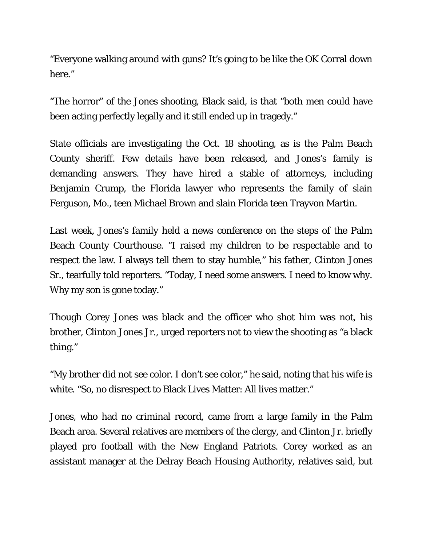"Everyone walking around with guns? It's going to be like the OK Corral down here."

"The horror" of the Jones shooting, Black said, is that "both men could have been acting perfectly legally and it still ended up in tragedy."

State officials are investigating the Oct. 18 shooting, as is the Palm Beach County sheriff. Few details have been released, and Jones's family is demanding answers. They have hired a stable of attorneys, including Benjamin Crump, the Florida lawyer who represents the family of slain Ferguson, Mo., teen Michael Brown and slain Florida teen Trayvon Martin.

Last week, Jones's family held a news conference on the steps of the Palm Beach County Courthouse. "I raised my children to be respectable and to respect the law. I always tell them to stay humble," his father, Clinton Jones Sr., tearfully told reporters. "Today, I need some answers. I need to know why. Why my son is gone today."

Though Corey Jones was black and the officer who shot him was not, his brother, Clinton Jones Jr., urged reporters not to view the shooting as "a black thing."

"My brother did not see color. I don't see color," he said, noting that his wife is white. "So, no disrespect to Black Lives Matter: All lives matter."

Jones, who had no criminal record, came from a large family in the Palm Beach area. Several relatives are members of the clergy, and Clinton Jr. briefly played pro football with the New England Patriots. Corey worked as an assistant manager at the Delray Beach Housing Authority, relatives said, but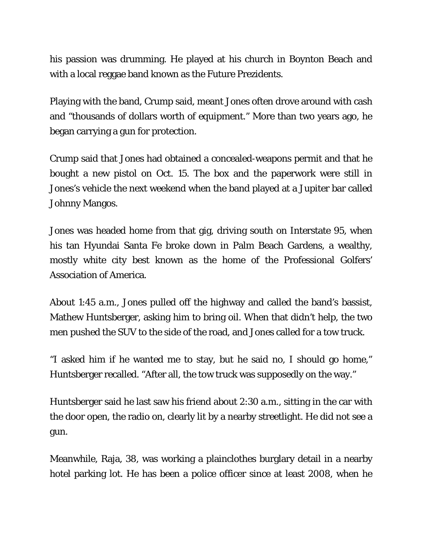his passion was drumming. He played at his church in Boynton Beach and with a local reggae band known as the Future Prezidents.

Playing with the band, Crump said, meant Jones often drove around with cash and "thousands of dollars worth of equipment." More than two years ago, he began carrying a gun for protection.

Crump said that Jones had obtained a concealed-weapons permit and that he bought a new pistol on Oct. 15. The box and the paperwork were still in Jones's vehicle the next weekend when the band played at a Jupiter bar called Johnny Mangos.

Jones was headed home from that gig, driving south on Interstate 95, when his tan Hyundai Santa Fe broke down in Palm Beach Gardens, a wealthy, mostly white city best known as the home of the Professional Golfers' Association of America.

About 1:45 a.m., Jones pulled off the highway and called the band's bassist, Mathew Huntsberger, asking him to bring oil. When that didn't help, the two men pushed the SUV to the side of the road, and Jones called for a tow truck.

"I asked him if he wanted me to stay, but he said no, I should go home," Huntsberger recalled. "After all, the tow truck was supposedly on the way."

Huntsberger said he last saw his friend about 2:30 a.m., sitting in the car with the door open, the radio on, clearly lit by a nearby streetlight. He did not see a gun.

Meanwhile, Raja, 38, was working a plainclothes burglary detail in a nearby hotel parking lot. He has been a police officer since at least 2008, when he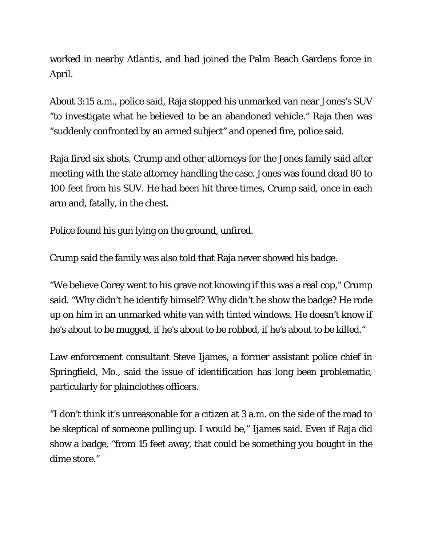worked in nearby Atlantis, and had joined the Palm Beach Gardens force in April.

About 3:15 a.m., police said, Raja stopped his unmarked van near Jones's SUV "to investigate what he believed to be an abandoned vehicle." Raja then was "suddenly confronted by an armed subject" and opened fire, police said.

Raja fired six shots, Crump and other attorneys for the Jones family said after meeting with the state attorney handling the case. Jones was found dead 80 to 100 feet from his SUV. He had been hit three times, Crump said, once in each arm and, fatally, in the chest.

Police found his gun lying on the ground, unfired.

Crump said the family was also told that Raja never showed his badge.

"We believe Corey went to his grave not knowing if this was a real cop," Crump said. "Why didn't he identify himself? Why didn't he show the badge? He rode up on him in an unmarked white van with tinted windows. He doesn't know if he's about to be mugged, if he's about to be robbed, if he's about to be killed."

Law enforcement consultant Steve Ijames, a former assistant police chief in Springfield, Mo., said the issue of identification has long been problematic, particularly for plainclothes officers.

"I don't think it's unreasonable for a citizen at 3 a.m. on the side of the road to be skeptical of someone pulling up. I would be," Ijames said. Even if Raja did show a badge, "from 15 feet away, that could be something you bought in the dime store."